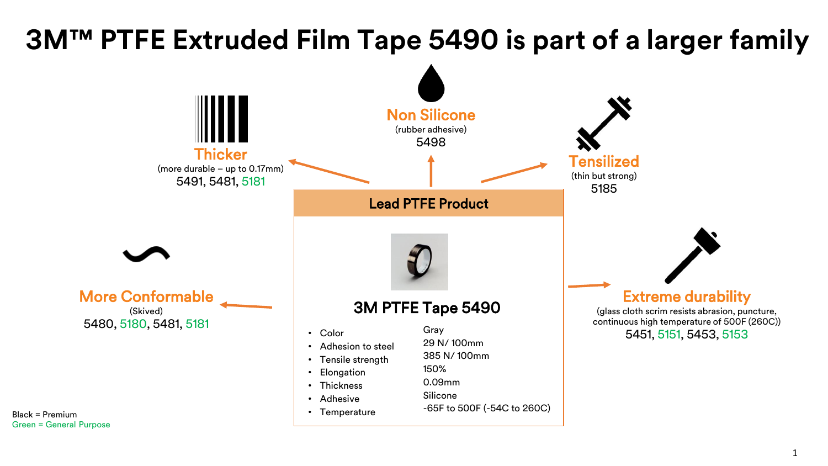## **3M™ PTFE Extruded Film Tape 5490 is part of a larger family**



1